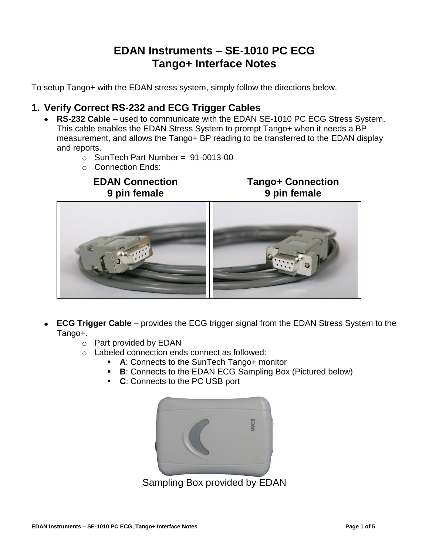# **EDAN Instruments – SE-1010 PC ECG Tango+ Interface Notes**

To setup Tango+ with the EDAN stress system, simply follow the directions below.

## **1. Verify Correct RS-232 and ECG Trigger Cables**

- **RS-232 Cable** used to communicate with the EDAN SE-1010 PC ECG Stress System. This cable enables the EDAN Stress System to prompt Tango+ when it needs a BP measurement, and allows the Tango+ BP reading to be transferred to the EDAN display and reports.
	- o SunTech Part Number = 91-0013-00
	- o Connection Ends:

## **EDAN Connection 9 pin female**

**Tango+ Connection 9 pin female**



- **ECG Trigger Cable** provides the ECG trigger signal from the EDAN Stress System to the Tango+.
	- o Part provided by EDAN
	- o Labeled connection ends connect as followed:
		- **A**: Connects to the SunTech Tango+ monitor
			- **B**: Connects to the EDAN ECG Sampling Box (Pictured below)
			- **C**: Connects to the PC USB port



Sampling Box provided by EDAN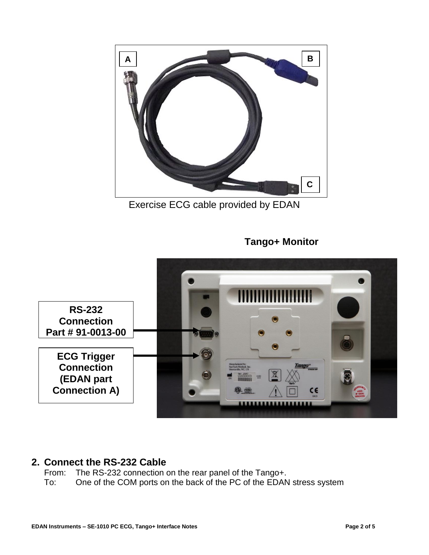

Exercise ECG cable provided by EDAN

# **Tango+ Monitor**



#### **2. Connect the RS-232 Cable** p  $\ddot{\mathbf{c}}$

From: The RS-232 connection on the rear panel of the Tango+.

To: One of the COM ports on the back of the PC of the EDAN stress system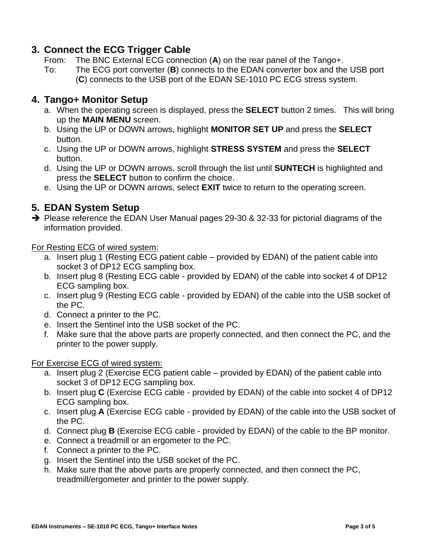## **3. Connect the ECG Trigger Cable**

- From: The BNC External ECG connection (**A**) on the rear panel of the Tango+.
- To: The ECG port converter (**B**) connects to the EDAN converter box and the USB port (**C**) connects to the USB port of the EDAN SE-1010 PC ECG stress system.

## **4. Tango+ Monitor Setup**

- a. When the operating screen is displayed, press the **SELECT** button 2 times. This will bring up the **MAIN MENU** screen.
- b. Using the UP or DOWN arrows, highlight **MONITOR SET UP** and press the **SELECT** button.
- c. Using the UP or DOWN arrows, highlight **STRESS SYSTEM** and press the **SELECT** button.
- d. Using the UP or DOWN arrows, scroll through the list until **SUNTECH** is highlighted and press the **SELECT** button to confirm the choice.
- e. Using the UP or DOWN arrows, select **EXIT** twice to return to the operating screen.

## **5. EDAN System Setup**

 $\rightarrow$  Please reference the EDAN User Manual pages 29-30 & 32-33 for pictorial diagrams of the information provided.

For Resting ECG of wired system:

- a. Insert plug 1 (Resting ECG patient cable provided by EDAN) of the patient cable into socket 3 of DP12 ECG sampling box.
- b. Insert plug 8 (Resting ECG cable provided by EDAN) of the cable into socket 4 of DP12 ECG sampling box.
- c. Insert plug 9 (Resting ECG cable provided by EDAN) of the cable into the USB socket of the PC.
- d. Connect a printer to the PC.
- e. Insert the Sentinel into the USB socket of the PC.
- f. Make sure that the above parts are properly connected, and then connect the PC, and the printer to the power supply.

#### For Exercise ECG of wired system:

- a. Insert plug 2 (Exercise ECG patient cable provided by EDAN) of the patient cable into socket 3 of DP12 ECG sampling box.
- b. Insert plug **C** (Exercise ECG cable provided by EDAN) of the cable into socket 4 of DP12 ECG sampling box.
- c. Insert plug **A** (Exercise ECG cable provided by EDAN) of the cable into the USB socket of the PC.
- d. Connect plug **B** (Exercise ECG cable provided by EDAN) of the cable to the BP monitor.
- e. Connect a treadmill or an ergometer to the PC.
- f. Connect a printer to the PC.
- g. Insert the Sentinel into the USB socket of the PC.
- h. Make sure that the above parts are properly connected, and then connect the PC, treadmill/ergometer and printer to the power supply.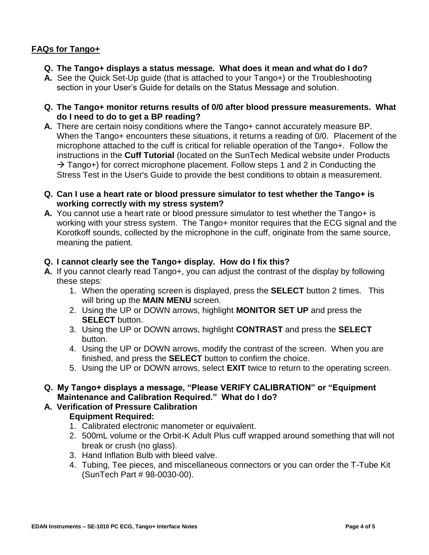## **FAQs for Tango+**

- **Q. The Tango+ displays a status message. What does it mean and what do I do?**
- **A.** See the Quick Set-Up guide (that is attached to your Tango+) or the Troubleshooting section in your User's Guide for details on the Status Message and solution.
- **Q. The Tango+ monitor returns results of 0/0 after blood pressure measurements. What do I need to do to get a BP reading?**
- **A.** There are certain noisy conditions where the Tango+ cannot accurately measure BP. When the Tango+ encounters these situations, it returns a reading of 0/0. Placement of the microphone attached to the cuff is critical for reliable operation of the Tango+. Follow the instructions in the **Cuff Tutorial** (located on the SunTech Medical website under Products  $\rightarrow$  Tango+) for correct microphone placement. Follow steps 1 and 2 in Conducting the Stress Test in the User's Guide to provide the best conditions to obtain a measurement.
- **Q. Can I use a heart rate or blood pressure simulator to test whether the Tango+ is working correctly with my stress system?**
- **A.** You cannot use a heart rate or blood pressure simulator to test whether the Tango+ is working with your stress system. The Tango+ monitor requires that the ECG signal and the Korotkoff sounds, collected by the microphone in the cuff, originate from the same source, meaning the patient.

#### **Q. I cannot clearly see the Tango+ display. How do I fix this?**

- **A.** If you cannot clearly read Tango+, you can adjust the contrast of the display by following these steps:
	- 1. When the operating screen is displayed, press the **SELECT** button 2 times. This will bring up the **MAIN MENU** screen.
	- 2. Using the UP or DOWN arrows, highlight **MONITOR SET UP** and press the **SELECT** button.
	- 3. Using the UP or DOWN arrows, highlight **CONTRAST** and press the **SELECT** button.
	- 4. Using the UP or DOWN arrows, modify the contrast of the screen. When you are finished, and press the **SELECT** button to confirm the choice.
	- 5. Using the UP or DOWN arrows, select **EXIT** twice to return to the operating screen.
- **Q. My Tango+ displays a message, "Please VERIFY CALIBRATION" or "Equipment Maintenance and Calibration Required." What do I do?**

## **A. Verification of Pressure Calibration**

## **Equipment Required:**

- 1. Calibrated electronic manometer or equivalent.
- 2. 500mL volume or the Orbit-K Adult Plus cuff wrapped around something that will not break or crush (no glass).
- 3. Hand Inflation Bulb with bleed valve.
- 4. Tubing, Tee pieces, and miscellaneous connectors or you can order the T-Tube Kit (SunTech Part # 98-0030-00).